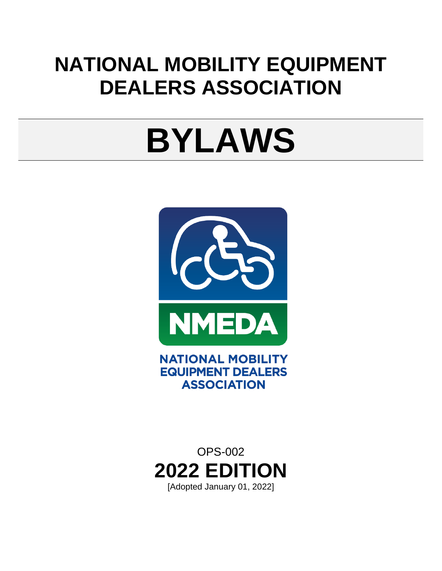## **NATIONAL MOBILITY EQUIPMENT DEALERS ASSOCIATION**

# **BYLAWS**



**ASSOCIATION** 

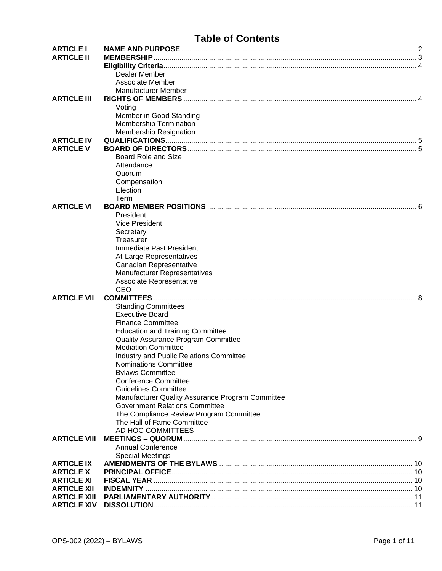### **Table of Contents**

| <b>ARTICLE I</b>    |                                                         |  |
|---------------------|---------------------------------------------------------|--|
| <b>ARTICLE II</b>   |                                                         |  |
|                     |                                                         |  |
|                     | Dealer Member                                           |  |
|                     | Associate Member                                        |  |
|                     | Manufacturer Member                                     |  |
| <b>ARTICLE III</b>  |                                                         |  |
|                     | Voting                                                  |  |
|                     | Member in Good Standing                                 |  |
|                     | <b>Membership Termination</b>                           |  |
|                     | <b>Membership Resignation</b>                           |  |
| <b>ARTICLE IV</b>   |                                                         |  |
| <b>ARTICLE V</b>    |                                                         |  |
|                     | Board Role and Size                                     |  |
|                     | Attendance                                              |  |
|                     | Quorum                                                  |  |
|                     | Compensation                                            |  |
|                     | Election                                                |  |
|                     | Term                                                    |  |
| <b>ARTICLE VI</b>   |                                                         |  |
|                     | President                                               |  |
|                     | <b>Vice President</b>                                   |  |
|                     | Secretary                                               |  |
|                     | Treasurer                                               |  |
|                     | Immediate Past President                                |  |
|                     |                                                         |  |
|                     | At-Large Representatives                                |  |
|                     | Canadian Representative<br>Manufacturer Representatives |  |
|                     |                                                         |  |
|                     | Associate Representative                                |  |
|                     | CEO                                                     |  |
| <b>ARTICLE VII</b>  |                                                         |  |
|                     | <b>Standing Committees</b>                              |  |
|                     | <b>Executive Board</b>                                  |  |
|                     | <b>Finance Committee</b>                                |  |
|                     | <b>Education and Training Committee</b>                 |  |
|                     | Quality Assurance Program Committee                     |  |
|                     | <b>Mediation Committee</b>                              |  |
|                     | Industry and Public Relations Committee                 |  |
|                     | <b>Nominations Committee</b>                            |  |
|                     | <b>Bylaws Committee</b>                                 |  |
|                     | <b>Conference Committee</b>                             |  |
|                     | <b>Guidelines Committee</b>                             |  |
|                     | Manufacturer Quality Assurance Program Committee        |  |
|                     | <b>Government Relations Committee</b>                   |  |
|                     | The Compliance Review Program Committee                 |  |
|                     | The Hall of Fame Committee                              |  |
|                     | AD HOC COMMITTEES                                       |  |
| <b>ARTICLE VIII</b> |                                                         |  |
|                     | <b>Annual Conference</b>                                |  |
|                     | <b>Special Meetings</b>                                 |  |
| <b>ARTICLE IX</b>   |                                                         |  |
| <b>ARTICLE X</b>    |                                                         |  |
| <b>ARTICLE XI</b>   |                                                         |  |
| <b>ARTICLE XII</b>  |                                                         |  |
| <b>ARTICLE XIII</b> |                                                         |  |
| <b>ARTICLE XIV</b>  |                                                         |  |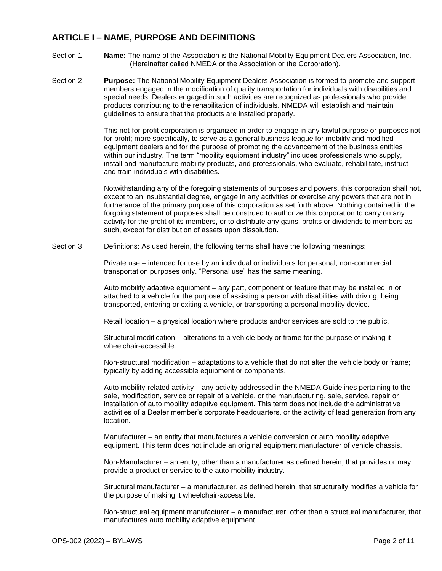#### <span id="page-2-0"></span>**ARTICLE I – NAME, PURPOSE AND DEFINITIONS**

- Section 1 **Name:** The name of the Association is the National Mobility Equipment Dealers Association, Inc. (Hereinafter called NMEDA or the Association or the Corporation).
- Section 2 **Purpose:** The National Mobility Equipment Dealers Association is formed to promote and support members engaged in the modification of quality transportation for individuals with disabilities and special needs. Dealers engaged in such activities are recognized as professionals who provide products contributing to the rehabilitation of individuals. NMEDA will establish and maintain guidelines to ensure that the products are installed properly.

This not-for-profit corporation is organized in order to engage in any lawful purpose or purposes not for profit; more specifically, to serve as a general business league for mobility and modified equipment dealers and for the purpose of promoting the advancement of the business entities within our industry. The term "mobility equipment industry" includes professionals who supply, install and manufacture mobility products, and professionals, who evaluate, rehabilitate, instruct and train individuals with disabilities.

Notwithstanding any of the foregoing statements of purposes and powers, this corporation shall not, except to an insubstantial degree, engage in any activities or exercise any powers that are not in furtherance of the primary purpose of this corporation as set forth above. Nothing contained in the forgoing statement of purposes shall be construed to authorize this corporation to carry on any activity for the profit of its members, or to distribute any gains, profits or dividends to members as such, except for distribution of assets upon dissolution.

Section 3 Definitions: As used herein, the following terms shall have the following meanings:

Private use – intended for use by an individual or individuals for personal, non-commercial transportation purposes only. "Personal use" has the same meaning.

Auto mobility adaptive equipment – any part, component or feature that may be installed in or attached to a vehicle for the purpose of assisting a person with disabilities with driving, being transported, entering or exiting a vehicle, or transporting a personal mobility device.

Retail location – a physical location where products and/or services are sold to the public.

Structural modification – alterations to a vehicle body or frame for the purpose of making it wheelchair-accessible.

Non-structural modification – adaptations to a vehicle that do not alter the vehicle body or frame; typically by adding accessible equipment or components.

Auto mobility-related activity – any activity addressed in the NMEDA Guidelines pertaining to the sale, modification, service or repair of a vehicle, or the manufacturing, sale, service, repair or installation of auto mobility adaptive equipment. This term does not include the administrative activities of a Dealer member's corporate headquarters, or the activity of lead generation from any location.

Manufacturer – an entity that manufactures a vehicle conversion or auto mobility adaptive equipment. This term does not include an original equipment manufacturer of vehicle chassis.

Non-Manufacturer – an entity, other than a manufacturer as defined herein, that provides or may provide a product or service to the auto mobility industry.

Structural manufacturer – a manufacturer, as defined herein, that structurally modifies a vehicle for the purpose of making it wheelchair-accessible.

Non-structural equipment manufacturer – a manufacturer, other than a structural manufacturer, that manufactures auto mobility adaptive equipment.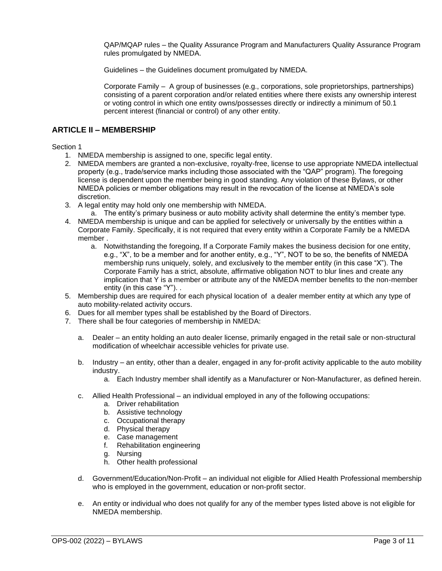QAP/MQAP rules – the Quality Assurance Program and Manufacturers Quality Assurance Program rules promulgated by NMEDA.

Guidelines – the Guidelines document promulgated by NMEDA.

Corporate Family – A group of businesses (e.g., corporations, sole proprietorships, partnerships) consisting of a parent corporation and/or related entities where there exists any ownership interest or voting control in which one entity owns/possesses directly or indirectly a minimum of 50.1 percent interest (financial or control) of any other entity.

#### <span id="page-3-0"></span>**ARTICLE II – MEMBERSHIP**

Section 1

- 1. NMEDA membership is assigned to one, specific legal entity.
- 2. NMEDA members are granted a non-exclusive, royalty-free, license to use appropriate NMEDA intellectual property (e.g., trade/service marks including those associated with the "QAP" program). The foregoing license is dependent upon the member being in good standing. Any violation of these Bylaws, or other NMEDA policies or member obligations may result in the revocation of the license at NMEDA's sole discretion.
- 3. A legal entity may hold only one membership with NMEDA.
	- a. The entity's primary business or auto mobility activity shall determine the entity's member type.
- 4. NMEDA membership is unique and can be applied for selectively or universally by the entities within a Corporate Family. Specifically, it is not required that every entity within a Corporate Family be a NMEDA member .
	- a. Notwithstanding the foregoing, If a Corporate Family makes the business decision for one entity, e.g., "X", to be a member and for another entity, e.g., "Y", NOT to be so, the benefits of NMEDA membership runs uniquely, solely, and exclusively to the member entity (in this case "X"). The Corporate Family has a strict, absolute, affirmative obligation NOT to blur lines and create any implication that Y is a member or attribute any of the NMEDA member benefits to the non-member entity (in this case "Y"). .
- 5. Membership dues are required for each physical location of a dealer member entity at which any type of auto mobility-related activity occurs.
- 6. Dues for all member types shall be established by the Board of Directors.
- 7. There shall be four categories of membership in NMEDA:
	- a. Dealer an entity holding an auto dealer license, primarily engaged in the retail sale or non-structural modification of wheelchair accessible vehicles for private use.
	- b. Industry an entity, other than a dealer, engaged in any for-profit activity applicable to the auto mobility industry.
		- a. Each Industry member shall identify as a Manufacturer or Non-Manufacturer, as defined herein.
	- c. Allied Health Professional an individual employed in any of the following occupations:
		- a. Driver rehabilitation
		- b. Assistive technology
		- c. Occupational therapy
		- d. Physical therapy
		- e. Case management
		- f. Rehabilitation engineering
		- g. Nursing
		- h. Other health professional
	- d. Government/Education/Non-Profit an individual not eligible for Allied Health Professional membership who is employed in the government, education or non-profit sector.
	- e. An entity or individual who does not qualify for any of the member types listed above is not eligible for NMEDA membership.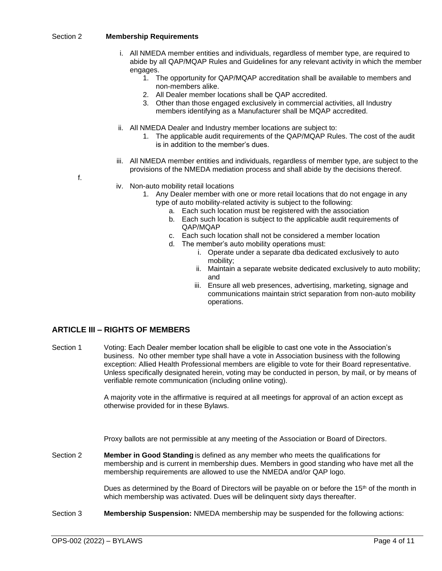#### <span id="page-4-0"></span>Section 2 **Membership Requirements**

- i. All NMEDA member entities and individuals, regardless of member type, are required to abide by all QAP/MQAP Rules and Guidelines for any relevant activity in which the member engages.
	- 1. The opportunity for QAP/MQAP accreditation shall be available to members and non-members alike.
	- 2. All Dealer member locations shall be QAP accredited.
	- 3. Other than those engaged exclusively in commercial activities, all Industry members identifying as a Manufacturer shall be MQAP accredited.
- ii. All NMEDA Dealer and Industry member locations are subject to:
	- 1. The applicable audit requirements of the QAP/MQAP Rules. The cost of the audit is in addition to the member's dues.
- iii. All NMEDA member entities and individuals, regardless of member type, are subject to the provisions of the NMEDA mediation process and shall abide by the decisions thereof.

f.

- iv. Non-auto mobility retail locations
	- 1. Any Dealer member with one or more retail locations that do not engage in any type of auto mobility-related activity is subject to the following:
		- a. Each such location must be registered with the association
			- b. Each such location is subject to the applicable audit requirements of QAP/MQAP
		- c. Each such location shall not be considered a member location
		- d. The member's auto mobility operations must:
			- i. Operate under a separate dba dedicated exclusively to auto mobility;
			- ii. Maintain a separate website dedicated exclusively to auto mobility; and
			- iii. Ensure all web presences, advertising, marketing, signage and communications maintain strict separation from non-auto mobility operations.

#### <span id="page-4-1"></span>**ARTICLE III – RIGHTS OF MEMBERS**

<span id="page-4-2"></span>Section 1 Voting: Each Dealer member location shall be eligible to cast one vote in the Association's business. No other member type shall have a vote in Association business with the following exception: Allied Health Professional members are eligible to vote for their Board representative. Unless specifically designated herein, voting may be conducted in person, by mail, or by means of verifiable remote communication (including online voting).

> A majority vote in the affirmative is required at all meetings for approval of an action except as otherwise provided for in these Bylaws.

Proxy ballots are not permissible at any meeting of the Association or Board of Directors.

<span id="page-4-3"></span>Section 2 **Member in Good Standing** is defined as any member who meets the qualifications for membership and is current in membership dues. Members in good standing who have met all the membership requirements are allowed to use the NMEDA and/or QAP logo.

> Dues as determined by the Board of Directors will be payable on or before the  $15<sup>th</sup>$  of the month in which membership was activated. Dues will be delinquent sixty days thereafter.

<span id="page-4-4"></span>Section 3 **Membership Suspension:** NMEDA membership may be suspended for the following actions: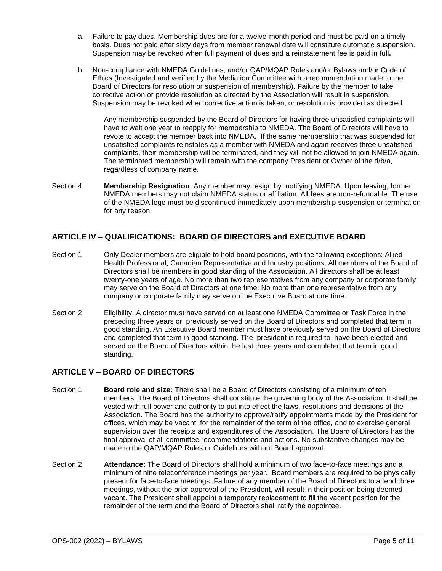- a. Failure to pay dues. Membership dues are for a twelve-month period and must be paid on a timely basis. Dues not paid after sixty days from member renewal date will constitute automatic suspension. Suspension may be revoked when full payment of dues and a reinstatement fee is paid in full**.**
- b. Non-compliance with NMEDA Guidelines, and/or QAP/MQAP Rules and/or Bylaws and/or Code of Ethics (Investigated and verified by the Mediation Committee with a recommendation made to the Board of Directors for resolution or suspension of membership). Failure by the member to take corrective action or provide resolution as directed by the Association will result in suspension. Suspension may be revoked when corrective action is taken, or resolution is provided as directed.

Any membership suspended by the Board of Directors for having three unsatisfied complaints will have to wait one year to reapply for membership to NMEDA. The Board of Directors will have to revote to accept the member back into NMEDA. If the same membership that was suspended for unsatisfied complaints reinstates as a member with NMEDA and again receives three unsatisfied complaints, their membership will be terminated, and they will not be allowed to join NMEDA again. The terminated membership will remain with the company President or Owner of the d/b/a, regardless of company name.

<span id="page-5-0"></span>Section 4 **Membership Resignation**: Any member may resign by notifying NMEDA. Upon leaving, former NMEDA members may not claim NMEDA status or affiliation. All fees are non-refundable. The use of the NMEDA logo must be discontinued immediately upon membership suspension or termination for any reason.

#### <span id="page-5-1"></span>**ARTICLE IV – QUALIFICATIONS: BOARD OF DIRECTORS and EXECUTIVE BOARD**

- Section 1 Only Dealer members are eligible to hold board positions, with the following exceptions: Allied Health Professional, Canadian Representative and Industry positions, All members of the Board of Directors shall be members in good standing of the Association. All directors shall be at least twenty-one years of age. No more than two representatives from any company or corporate family may serve on the Board of Directors at one time. No more than one representative from any company or corporate family may serve on the Executive Board at one time.
- Section 2 Eligibility: A director must have served on at least one NMEDA Committee or Task Force in the preceding three years or previously served on the Board of Directors and completed that term in good standing. An Executive Board member must have previously served on the Board of Directors and completed that term in good standing. The president is required to have been elected and served on the Board of Directors within the last three years and completed that term in good standing.

#### <span id="page-5-2"></span>**ARTICLE V – BOARD OF DIRECTORS**

- <span id="page-5-3"></span>Section 1 **Board role and size:** There shall be a Board of Directors consisting of a minimum of ten members. The Board of Directors shall constitute the governing body of the Association. It shall be vested with full power and authority to put into effect the laws, resolutions and decisions of the Association. The Board has the authority to approve/ratify appointments made by the President for offices, which may be vacant, for the remainder of the term of the office, and to exercise general supervision over the receipts and expenditures of the Association. The Board of Directors has the final approval of all committee recommendations and actions. No substantive changes may be made to the QAP/MQAP Rules or Guidelines without Board approval.
- <span id="page-5-4"></span>Section 2 **Attendance:** The Board of Directors shall hold a minimum of two face-to-face meetings and a minimum of nine teleconference meetings per year. Board members are required to be physically present for face-to-face meetings. Failure of any member of the Board of Directors to attend three meetings, without the prior approval of the President, will result in their position being deemed vacant. The President shall appoint a temporary replacement to fill the vacant position for the remainder of the term and the Board of Directors shall ratify the appointee.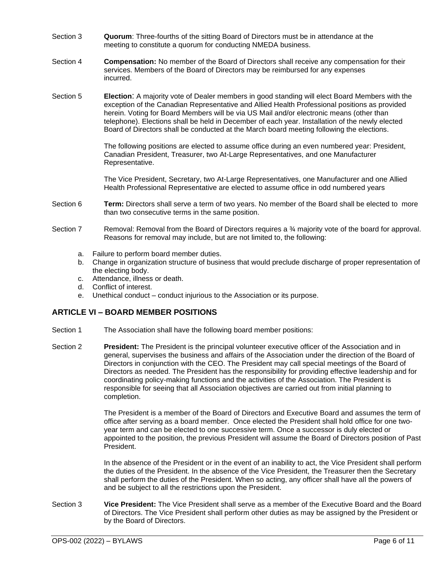- <span id="page-6-0"></span>Section 3 **Quorum**: Three-fourths of the sitting Board of Directors must be in attendance at the meeting to constitute a quorum for conducting NMEDA business.
- <span id="page-6-1"></span>Section 4 **Compensation:** No member of the Board of Directors shall receive any compensation for their services. Members of the Board of Directors may be reimbursed for any expenses incurred.
- <span id="page-6-2"></span>Section 5 **Election**: A majority vote of Dealer members in good standing will elect Board Members with the exception of the Canadian Representative and Allied Health Professional positions as provided herein. Voting for Board Members will be via US Mail and/or electronic means (other than telephone). Elections shall be held in December of each year. Installation of the newly elected Board of Directors shall be conducted at the March board meeting following the elections.

The following positions are elected to assume office during an even numbered year: President, Canadian President, Treasurer, two At-Large Representatives, and one Manufacturer Representative.

The Vice President, Secretary, two At-Large Representatives, one Manufacturer and one Allied Health Professional Representative are elected to assume office in odd numbered years

- <span id="page-6-3"></span>Section 6 **Term:** Directors shall serve a term of two years. No member of the Board shall be elected to more than two consecutive terms in the same position.
- Section 7 Removal: Removal from the Board of Directors requires a 34 majority vote of the board for approval. Reasons for removal may include, but are not limited to, the following:
	- a. Failure to perform board member duties.
	- b. Change in organization structure of business that would preclude discharge of proper representation of the electing body.
	- c. Attendance, illness or death.
	- d. Conflict of interest.
	- e. Unethical conduct conduct injurious to the Association or its purpose.

#### <span id="page-6-4"></span>**ARTICLE VI – BOARD MEMBER POSITIONS**

- Section 1 The Association shall have the following board member positions:
- <span id="page-6-5"></span>Section 2 **President:** The President is the principal volunteer executive officer of the Association and in general, supervises the business and affairs of the Association under the direction of the Board of Directors in conjunction with the CEO. The President may call special meetings of the Board of Directors as needed. The President has the responsibility for providing effective leadership and for coordinating policy-making functions and the activities of the Association. The President is responsible for seeing that all Association objectives are carried out from initial planning to completion.

The President is a member of the Board of Directors and Executive Board and assumes the term of office after serving as a board member. Once elected the President shall hold office for one twoyear term and can be elected to one successive term. Once a successor is duly elected or appointed to the position, the previous President will assume the Board of Directors position of Past President.

In the absence of the President or in the event of an inability to act, the Vice President shall perform the duties of the President. In the absence of the Vice President, the Treasurer then the Secretary shall perform the duties of the President. When so acting, any officer shall have all the powers of and be subject to all the restrictions upon the President.

<span id="page-6-6"></span>Section 3 **Vice President:** The Vice President shall serve as a member of the Executive Board and the Board of Directors. The Vice President shall perform other duties as may be assigned by the President or by the Board of Directors.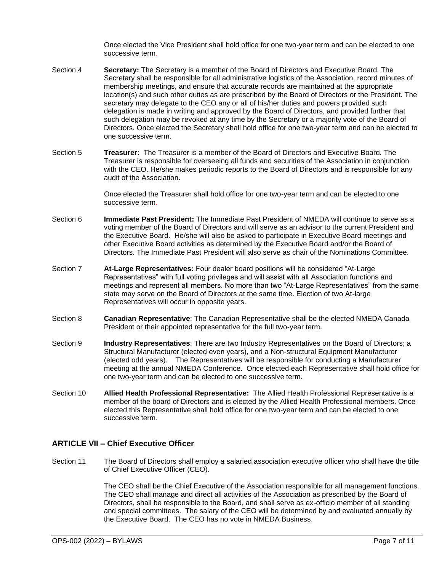Once elected the Vice President shall hold office for one two-year term and can be elected to one successive term.

- <span id="page-7-0"></span>Section 4 **Secretary:** The Secretary is a member of the Board of Directors and Executive Board. The Secretary shall be responsible for all administrative logistics of the Association, record minutes of membership meetings, and ensure that accurate records are maintained at the appropriate location(s) and such other duties as are prescribed by the Board of Directors or the President. The secretary may delegate to the CEO any or all of his/her duties and powers provided such delegation is made in writing and approved by the Board of Directors, and provided further that such delegation may be revoked at any time by the Secretary or a majority vote of the Board of Directors. Once elected the Secretary shall hold office for one two-year term and can be elected to one successive term.
- <span id="page-7-1"></span>Section 5 **Treasurer:** The Treasurer is a member of the Board of Directors and Executive Board. The Treasurer is responsible for overseeing all funds and securities of the Association in conjunction with the CEO. He/she makes periodic reports to the Board of Directors and is responsible for any audit of the Association.

Once elected the Treasurer shall hold office for one two-year term and can be elected to one successive term.

- <span id="page-7-2"></span>Section 6 **Immediate Past President:** The Immediate Past President of NMEDA will continue to serve as a voting member of the Board of Directors and will serve as an advisor to the current President and the Executive Board. He/she will also be asked to participate in Executive Board meetings and other Executive Board activities as determined by the Executive Board and/or the Board of Directors. The Immediate Past President will also serve as chair of the Nominations Committee.
- <span id="page-7-3"></span>Section 7 **At-Large Representatives:** Four dealer board positions will be considered "At-Large Representatives" with full voting privileges and will assist with all Association functions and meetings and represent all members. No more than two "At-Large Representatives" from the same state may serve on the Board of Directors at the same time. Election of two At-large Representatives will occur in opposite years.
- <span id="page-7-4"></span>Section 8 **Canadian Representative**: The Canadian Representative shall be the elected NMEDA Canada President or their appointed representative for the full two-year term.
- <span id="page-7-5"></span>Section 9 **Industry Representatives**: There are two Industry Representatives on the Board of Directors; a Structural Manufacturer (elected even years), and a Non-structural Equipment Manufacturer (elected odd years). The Representatives will be responsible for conducting a Manufacturer meeting at the annual NMEDA Conference. Once elected each Representative shall hold office for one two-year term and can be elected to one successive term.
- <span id="page-7-6"></span>Section 10 **Allied Health Professional Representative:** The Allied Health Professional Representative is a member of the board of Directors and is elected by the Allied Health Professional members. Once elected this Representative shall hold office for one two-year term and can be elected to one successive term.

#### <span id="page-7-7"></span>**ARTICLE VII – Chief Executive Officer**

Section 11 The Board of Directors shall employ a salaried association executive officer who shall have the title of Chief Executive Officer (CEO).

> The CEO shall be the Chief Executive of the Association responsible for all management functions. The CEO shall manage and direct all activities of the Association as prescribed by the Board of Directors, shall be responsible to the Board, and shall serve as ex-officio member of all standing and special committees. The salary of the CEO will be determined by and evaluated annually by the Executive Board. The CEO has no vote in NMEDA Business.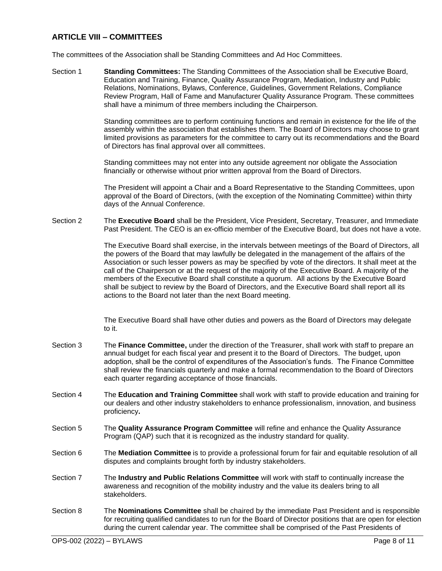#### <span id="page-8-0"></span>**ARTICLE VIII – COMMITTEES**

The committees of the Association shall be Standing Committees and Ad Hoc Committees.

<span id="page-8-1"></span>Section 1 **Standing Committees:** The Standing Committees of the Association shall be Executive Board, Education and Training, Finance, Quality Assurance Program, Mediation, Industry and Public Relations, Nominations, Bylaws, Conference, Guidelines, Government Relations, Compliance Review Program, Hall of Fame and Manufacturer Quality Assurance Program. These committees shall have a minimum of three members including the Chairperson.

> Standing committees are to perform continuing functions and remain in existence for the life of the assembly within the association that establishes them. The Board of Directors may choose to grant limited provisions as parameters for the committee to carry out its recommendations and the Board of Directors has final approval over all committees.

Standing committees may not enter into any outside agreement nor obligate the Association financially or otherwise without prior written approval from the Board of Directors.

The President will appoint a Chair and a Board Representative to the Standing Committees, upon approval of the Board of Directors, (with the exception of the Nominating Committee) within thirty days of the Annual Conference.

<span id="page-8-2"></span>Section 2 The **Executive Board** shall be the President, Vice President, Secretary, Treasurer, and Immediate Past President. The CEO is an ex-officio member of the Executive Board, but does not have a vote.

> The Executive Board shall exercise, in the intervals between meetings of the Board of Directors, all the powers of the Board that may lawfully be delegated in the management of the affairs of the Association or such lesser powers as may be specified by vote of the directors. It shall meet at the call of the Chairperson or at the request of the majority of the Executive Board. A majority of the members of the Executive Board shall constitute a quorum. All actions by the Executive Board shall be subject to review by the Board of Directors, and the Executive Board shall report all its actions to the Board not later than the next Board meeting.

The Executive Board shall have other duties and powers as the Board of Directors may delegate to it.

- <span id="page-8-3"></span>Section 3 The **Finance Committee,** under the direction of the Treasurer, shall work with staff to prepare an annual budget for each fiscal year and present it to the Board of Directors. The budget, upon adoption, shall be the control of expenditures of the Association's funds. The Finance Committee shall review the financials quarterly and make a formal recommendation to the Board of Directors each quarter regarding acceptance of those financials.
- <span id="page-8-4"></span>Section 4 The **Education and Training Committee** shall work with staff to provide education and training for our dealers and other industry stakeholders to enhance professionalism, innovation, and business proficiency**.**
- <span id="page-8-5"></span>Section 5 The **Quality Assurance Program Committee** will refine and enhance the Quality Assurance Program (QAP) such that it is recognized as the industry standard for quality.
- <span id="page-8-6"></span>Section 6 The **Mediation Committee** is to provide a professional forum for fair and equitable resolution of all disputes and complaints brought forth by industry stakeholders.
- <span id="page-8-7"></span>Section 7 The **Industry and Public Relations Committee** will work with staff to continually increase the awareness and recognition of the mobility industry and the value its dealers bring to all stakeholders.
- <span id="page-8-8"></span>Section 8 The **Nominations Committee** shall be chaired by the immediate Past President and is responsible for recruiting qualified candidates to run for the Board of Director positions that are open for election during the current calendar year. The committee shall be comprised of the Past Presidents of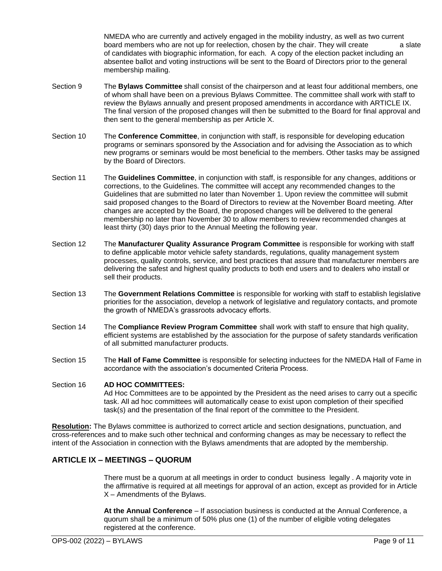NMEDA who are currently and actively engaged in the mobility industry, as well as two current board members who are not up for reelection, chosen by the chair. They will create a slate of candidates with biographic information, for each. A copy of the election packet including an absentee ballot and voting instructions will be sent to the Board of Directors prior to the general membership mailing.

- <span id="page-9-0"></span>Section 9 The **Bylaws Committee** shall consist of the chairperson and at least four additional members, one of whom shall have been on a previous Bylaws Committee. The committee shall work with staff to review the Bylaws annually and present proposed amendments in accordance with ARTICLE IX. The final version of the proposed changes will then be submitted to the Board for final approval and then sent to the general membership as per Article X.
- <span id="page-9-1"></span>Section 10 The **Conference Committee**, in conjunction with staff, is responsible for developing education programs or seminars sponsored by the Association and for advising the Association as to which new programs or seminars would be most beneficial to the members. Other tasks may be assigned by the Board of Directors.
- <span id="page-9-2"></span>Section 11 The **Guidelines Committee**, in conjunction with staff, is responsible for any changes, additions or corrections, to the Guidelines. The committee will accept any recommended changes to the Guidelines that are submitted no later than November 1. Upon review the committee will submit said proposed changes to the Board of Directors to review at the November Board meeting. After changes are accepted by the Board, the proposed changes will be delivered to the general membership no later than November 30 to allow members to review recommended changes at least thirty (30) days prior to the Annual Meeting the following year.
- <span id="page-9-3"></span>Section 12 The **Manufacturer Quality Assurance Program Committee** is responsible for working with staff to define applicable motor vehicle safety standards, regulations, quality management system processes, quality controls, service, and best practices that assure that manufacturer members are delivering the safest and highest quality products to both end users and to dealers who install or sell their products.
- <span id="page-9-4"></span>Section 13 The **Government Relations Committee** is responsible for working with staff to establish legislative priorities for the association, develop a network of legislative and regulatory contacts, and promote the growth of NMEDA's grassroots advocacy efforts.
- <span id="page-9-5"></span>Section 14 The **Compliance Review Program Committee** shall work with staff to ensure that high quality, efficient systems are established by the association for the purpose of safety standards verification of all submitted manufacturer products.
- <span id="page-9-6"></span>Section 15 The **Hall of Fame Committee** is responsible for selecting inductees for the NMEDA Hall of Fame in accordance with the association's documented Criteria Process.

#### <span id="page-9-7"></span>Section 16 **AD HOC COMMITTEES:**

Ad Hoc Committees are to be appointed by the President as the need arises to carry out a specific task. All ad hoc committees will automatically cease to exist upon completion of their specified task(s) and the presentation of the final report of the committee to the President.

**Resolution:** The Bylaws committee is authorized to correct article and section designations, punctuation, and cross-references and to make such other technical and conforming changes as may be necessary to reflect the intent of the Association in connection with the Bylaws amendments that are adopted by the membership.

#### <span id="page-9-8"></span>**ARTICLE IX – MEETINGS – QUORUM**

There must be a quorum at all meetings in order to conduct business legally . A majority vote in the affirmative is required at all meetings for approval of an action, except as provided for in Article X – Amendments of the Bylaws.

**At the Annual Conference** – If association business is conducted at the Annual Conference, a quorum shall be a minimum of 50% plus one (1) of the number of eligible voting delegates registered at the conference.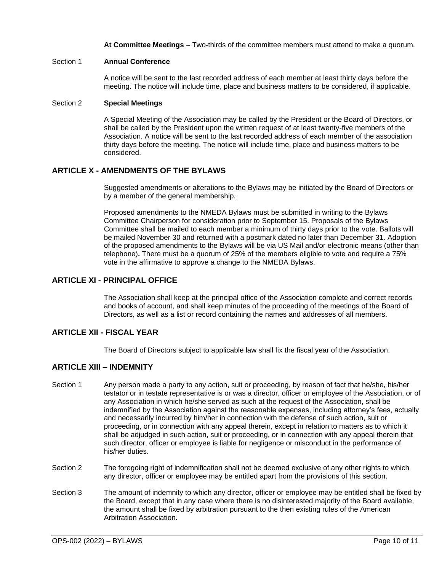**At Committee Meetings** – Two-thirds of the committee members must attend to make a quorum.

#### <span id="page-10-0"></span>Section 1 **Annual Conference**

A notice will be sent to the last recorded address of each member at least thirty days before the meeting. The notice will include time, place and business matters to be considered, if applicable.

#### <span id="page-10-1"></span>Section 2 **Special Meetings**

A Special Meeting of the Association may be called by the President or the Board of Directors, or shall be called by the President upon the written request of at least twenty-five members of the Association. A notice will be sent to the last recorded address of each member of the association thirty days before the meeting. The notice will include time, place and business matters to be considered.

#### <span id="page-10-2"></span>**ARTICLE X - AMENDMENTS OF THE BYLAWS**

Suggested amendments or alterations to the Bylaws may be initiated by the Board of Directors or by a member of the general membership.

Proposed amendments to the NMEDA Bylaws must be submitted in writing to the Bylaws Committee Chairperson for consideration prior to September 15. Proposals of the Bylaws Committee shall be mailed to each member a minimum of thirty days prior to the vote. Ballots will be mailed November 30 and returned with a postmark dated no later than December 31. Adoption of the proposed amendments to the Bylaws will be via US Mail and/or electronic means (other than telephone)**.** There must be a quorum of 25% of the members eligible to vote and require a 75% vote in the affirmative to approve a change to the NMEDA Bylaws.

#### <span id="page-10-3"></span>**ARTICLE XI - PRINCIPAL OFFICE**

The Association shall keep at the principal office of the Association complete and correct records and books of account, and shall keep minutes of the proceeding of the meetings of the Board of Directors, as well as a list or record containing the names and addresses of all members.

#### <span id="page-10-4"></span>**ARTICLE XII - FISCAL YEAR**

The Board of Directors subject to applicable law shall fix the fiscal year of the Association.

#### <span id="page-10-5"></span>**ARTICLE XIII – INDEMNITY**

- Section 1 Any person made a party to any action, suit or proceeding, by reason of fact that he/she, his/her testator or in testate representative is or was a director, officer or employee of the Association, or of any Association in which he/she served as such at the request of the Association, shall be indemnified by the Association against the reasonable expenses, including attorney's fees, actually and necessarily incurred by him/her in connection with the defense of such action, suit or proceeding, or in connection with any appeal therein, except in relation to matters as to which it shall be adjudged in such action, suit or proceeding, or in connection with any appeal therein that such director, officer or employee is liable for negligence or misconduct in the performance of his/her duties.
- Section 2 The foregoing right of indemnification shall not be deemed exclusive of any other rights to which any director, officer or employee may be entitled apart from the provisions of this section.
- Section 3 The amount of indemnity to which any director, officer or employee may be entitled shall be fixed by the Board, except that in any case where there is no disinterested majority of the Board available, the amount shall be fixed by arbitration pursuant to the then existing rules of the American Arbitration Association.